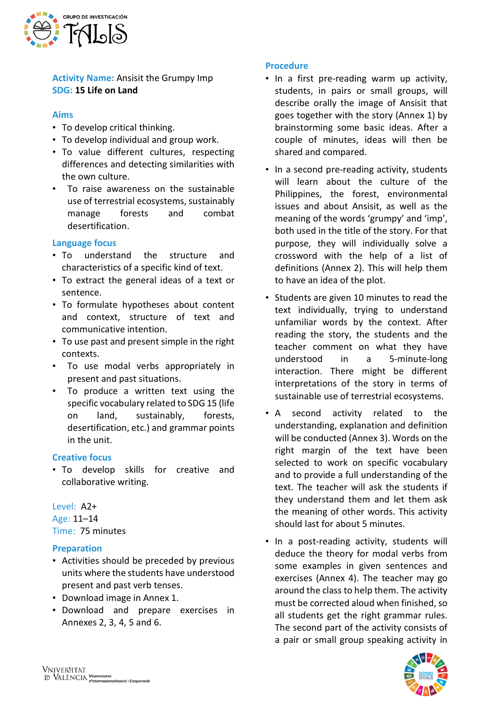

**Activity Name:** Ansisit the Grumpy Imp **SDG: 15 Life on Land**

#### **Aims**

- To develop critical thinking.
- To develop individual and group work.
- To value different cultures, respecting differences and detecting similarities with the own culture.
- To raise awareness on the sustainable use of terrestrial ecosystems, sustainably manage forests and combat desertification.

## **Language focus**

- To understand the structure and characteristics of a specific kind of text.
- To extract the general ideas of a text or sentence.
- To formulate hypotheses about content and context, structure of text and communicative intention.
- To use past and present simple in the right contexts.
- To use modal verbs appropriately in present and past situations.
- To produce a written text using the specific vocabulary related to SDG 15 (life on land, sustainably, forests, desertification, etc.) and grammar points in the unit.

#### **Creative focus**

• To develop skills for creative and collaborative writing.

Level: A2+ Age: 11–14 Time: 75 minutes

## **Preparation**

- Activities should be preceded by previous units where the students have understood present and past verb tenses.
- Download image in Annex 1.
- Download and prepare exercises in Annexes 2, 3, 4, 5 and 6.

#### **Procedure**

- In a first pre-reading warm up activity, students, in pairs or small groups, will describe orally the image of Ansisit that goes together with the story (Annex 1) by brainstorming some basic ideas. After a couple of minutes, ideas will then be shared and compared.
- In a second pre-reading activity, students will learn about the culture of the Philippines, the forest, environmental issues and about Ansisit, as well as the meaning of the words 'grumpy' and 'imp', both used in the title of the story. For that purpose, they will individually solve a crossword with the help of a list of definitions (Annex 2). This will help them to have an idea of the plot.
- Students are given 10 minutes to read the text individually, trying to understand unfamiliar words by the context. After reading the story, the students and the teacher comment on what they have understood in a 5-minute-long interaction. There might be different interpretations of the story in terms of sustainable use of terrestrial ecosystems.
- A second activity related to the understanding, explanation and definition will be conducted (Annex 3). Words on the right margin of the text have been selected to work on specific vocabulary and to provide a full understanding of the text. The teacher will ask the students if they understand them and let them ask the meaning of other words. This activity should last for about 5 minutes.
- In a post-reading activity, students will deduce the theory for modal verbs from some examples in given sentences and exercises (Annex 4). The teacher may go around the class to help them. The activity must be corrected aloud when finished, so all students get the right grammar rules. The second part of the activity consists of a pair or small group speaking activity in

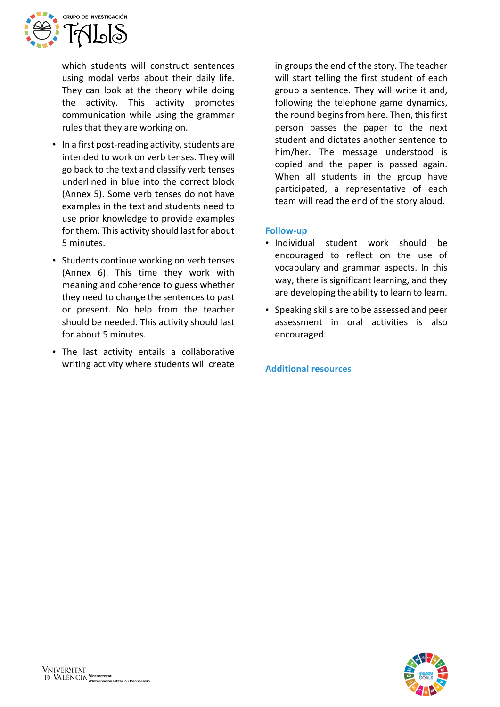

which students will construct sentences using modal verbs about their daily life. They can look at the theory while doing the activity. This activity promotes communication while using the grammar rules that they are working on.

- In a first post-reading activity, students are intended to work on verb tenses. They will go back to the text and classify verb tenses underlined in blue into the correct block (Annex 5). Some verb tenses do not have examples in the text and students need to use prior knowledge to provide examples for them. This activity should last for about 5 minutes.
- Students continue working on verb tenses (Annex 6). This time they work with meaning and coherence to guess whether they need to change the sentences to past or present. No help from the teacher should be needed. This activity should last for about 5 minutes.
- The last activity entails a collaborative writing activity where students will create

in groups the end of the story. The teacher will start telling the first student of each group a sentence. They will write it and, following the telephone game dynamics, the round begins from here. Then, this first person passes the paper to the next student and dictates another sentence to him/her. The message understood is copied and the paper is passed again. When all students in the group have participated, a representative of each team will read the end of the story aloud.

## **Follow-up**

- Individual student work should be encouraged to reflect on the use of vocabulary and grammar aspects. In this way, there is significant learning, and they are developing the ability to learn to learn.
- Speaking skills are to be assessed and peer assessment in oral activities is also encouraged.

**Additional resources**

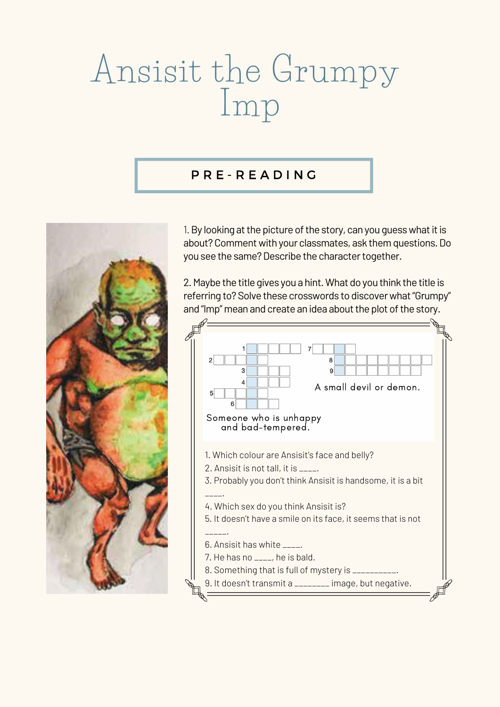# Ansisit the Grumpy Imp

## P R E - R E A D I N G



1. By looking at the picture of the story, can you guess what it is about? Comment with your classmates, ask them questions. Do you see the same? Describe the character together.

2.Maybe the title gives you a hint.What do you think the title is referring to? Solve these crosswords to discover what "Grumpy" and "Imp" mean and create an idea about the plot of the story.

7. He has no \_\_\_\_, he is bald.

8. Something that is full of mystery is \_\_\_\_\_\_\_\_\_\_.



9. It doesn't transmit a \_\_\_\_\_\_\_\_ image, but negative.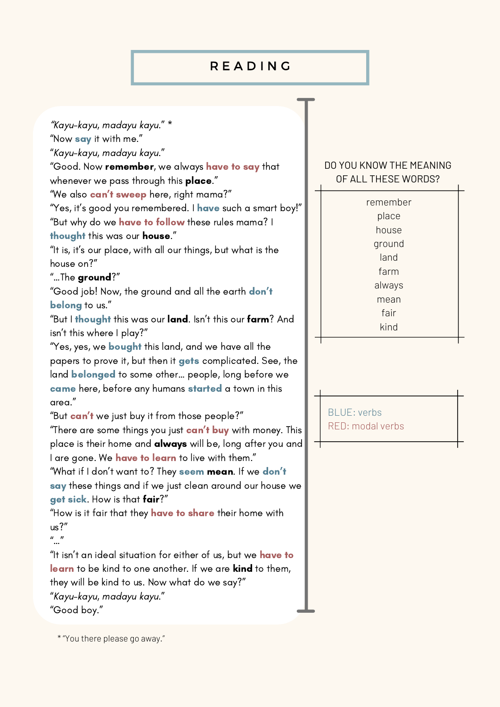# R E A D I N G

"Kayu-kayu, madayu kayu." \*

"Now say it with me."

"Kayu-kayu, madayu kayu."

"Good. Now remember, we always have to say that whenever we pass through this place."

"We also **can't sweep** here, right mama?"

"Yes, it's good you remembered. I have such a smart boy!" "But why do we have to follow these rules mama? I

"It is, it's our place, with all our things, but what is the house on?"

"But I thought this was our land. Isn't this our farm? And isn 't this where I play?"

thought this was our house."

## "…The ground?"

"Good job! Now, the ground and all the earth don't belong to us."

"Yes, yes, we **bought** this land, and we have all the papers to prove it, but then it gets complicated. See, the land **belonged** to some other... people, long before we came here, before any humans started a town in this area." "But can't we just buy it from those people?" "There are some things you just **can't buy** with money. This place is their home and **always** will be, long after you and I are gone. We have to learn to live with them." "What if I don't want to? They seem mean. If we don't say these things and if we just clean around our house we get sick. How is that fair?"

"How is it fair that they have to share their home with us?"

```
\vec{u} \vec{v}
```
"It isn't an ideal situation for either of us, but we have to learn to be kind to one another. If we are kind to them, they will be kind to us. Now what do we say?" "Kayu-kayu, madayu kayu."

"Good boy."

## DO YOU KNOW THE MEANING OF ALL THESE WORDS?

BLUE: verbs RED: modal verbs

remember place house ground land farm always mean fair kind

\* "You there please go away."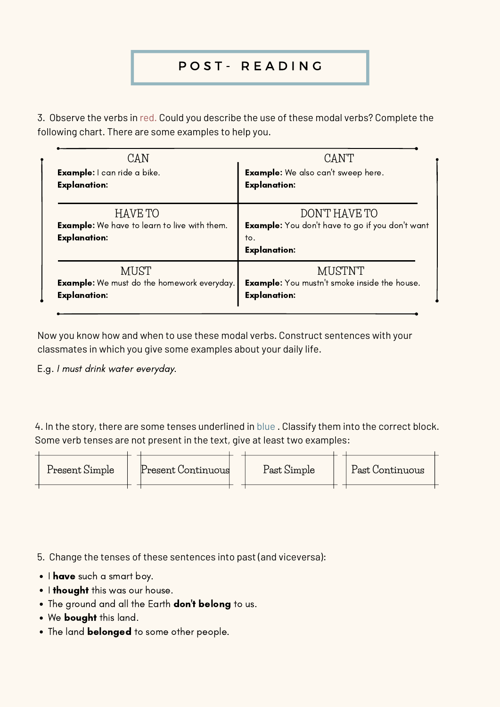# P O S T - R E A D I N G

4. In the story, there are some tenses underlined in blue . Classify them into the correct block. Some verb tenses are not present in the text, give at least two examples:

- 5. Change the tenses of these sentences into past (and viceversa):
- I have such a smart boy.
- . I thought this was our house.
- The ground and all the Earth **don't belong** to us.
- We bought this land.
- The land **belonged** to some other people.



3. Observe the verbs in red. Could you describe the use of these modal verbs? Complete the following chart. There are some examples to help you.

| CAN                                                                                          | CANT                                                                                                  |
|----------------------------------------------------------------------------------------------|-------------------------------------------------------------------------------------------------------|
| <b>Example:</b> I can ride a bike.                                                           | <b>Example:</b> We also can't sweep here.                                                             |
| <b>Explanation:</b>                                                                          | <b>Explanation:</b>                                                                                   |
| <b>HAVE TO</b><br><b>Example:</b> We have to learn to live with them.<br><b>Explanation:</b> | DON'T HAVE TO<br><b>Example:</b> You don't have to go if you don't want<br>to.<br><b>Explanation:</b> |
| MUST                                                                                         | MUSTNT                                                                                                |
| <b>Example:</b> We must do the homework everyday.                                            | <b>Example:</b> You mustn't smoke inside the house.                                                   |
| <b>Explanation:</b>                                                                          | <b>Explanation:</b>                                                                                   |

Now you know how and when to use these modal verbs. Construct sentences with your classmates in which you give some examples about your daily life.

E.g. I must drink water everyday.